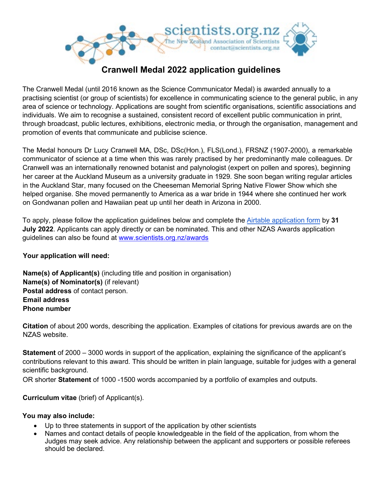

## **Cranwell Medal 2022 application guidelines**

The Cranwell Medal (until 2016 known as the Science Communicator Medal) is awarded annually to a practising scientist (or group of scientists) for excellence in communicating science to the general public, in any area of science or technology. Applications are sought from scientific organisations, scientific associations and individuals. We aim to recognise a sustained, consistent record of excellent public communication in print, through broadcast, public lectures, exhibitions, electronic media, or through the organisation, management and promotion of events that communicate and publicise science.

The Medal honours Dr Lucy Cranwell MA, DSc, DSc(Hon.), FLS(Lond.), FRSNZ (1907-2000), a remarkable communicator of science at a time when this was rarely practised by her predominantly male colleagues. Dr Cranwell was an internationally renowned botanist and palynologist (expert on pollen and spores), beginning her career at the Auckland Museum as a university graduate in 1929. She soon began writing regular articles in the Auckland Star, many focused on the Cheeseman Memorial Spring Native Flower Show which she helped organise. She moved permanently to America as a war bride in 1944 where she continued her work on Gondwanan pollen and Hawaiian peat up until her death in Arizona in 2000.

To apply, please follow the application guidelines below and complete the [Airtable application form](https://scientists.org.nz/cm_application) by **31 July 2022**. Applicants can apply directly or can be nominated. This and other NZAS Awards application guidelines can also be found at www.scientists.org.nz/awards

## **Your application will need:**

**Name(s) of Applicant(s)** (including title and position in organisation) **Name(s) of Nominator(s)** (if relevant) **Postal address** of contact person. **Email address Phone number** 

**Citation** of about 200 words, describing the application. Examples of citations for previous awards are on the NZAS website.

**Statement** of 2000 – 3000 words in support of the application, explaining the significance of the applicant's contributions relevant to this award. This should be written in plain language, suitable for judges with a general scientific background.

OR shorter **Statement** of 1000 -1500 words accompanied by a portfolio of examples and outputs.

**Curriculum vitae** (brief) of Applicant(s).

## **You may also include:**

- Up to three statements in support of the application by other scientists
- Names and contact details of people knowledgeable in the field of the application, from whom the Judges may seek advice. Any relationship between the applicant and supporters or possible referees should be declared.